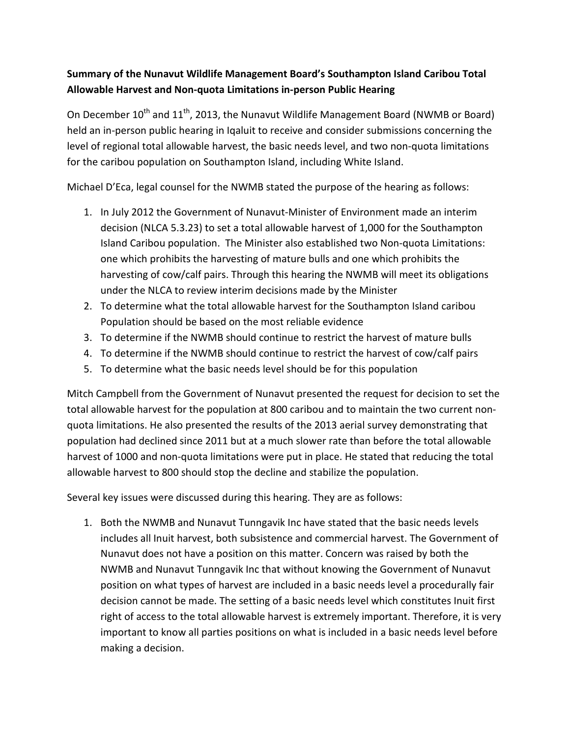## **Summary of the Nunavut Wildlife Management Board's Southampton Island Caribou Total Allowable Harvest and Non-quota Limitations in-person Public Hearing**

On December  $10^{th}$  and  $11^{th}$ , 2013, the Nunavut Wildlife Management Board (NWMB or Board) held an in-person public hearing in Iqaluit to receive and consider submissions concerning the level of regional total allowable harvest, the basic needs level, and two non-quota limitations for the caribou population on Southampton Island, including White Island.

Michael D'Eca, legal counsel for the NWMB stated the purpose of the hearing as follows:

- 1. In July 2012 the Government of Nunavut-Minister of Environment made an interim decision (NLCA 5.3.23) to set a total allowable harvest of 1,000 for the Southampton Island Caribou population. The Minister also established two Non-quota Limitations: one which prohibits the harvesting of mature bulls and one which prohibits the harvesting of cow/calf pairs. Through this hearing the NWMB will meet its obligations under the NLCA to review interim decisions made by the Minister
- 2. To determine what the total allowable harvest for the Southampton Island caribou Population should be based on the most reliable evidence
- 3. To determine if the NWMB should continue to restrict the harvest of mature bulls
- 4. To determine if the NWMB should continue to restrict the harvest of cow/calf pairs
- 5. To determine what the basic needs level should be for this population

Mitch Campbell from the Government of Nunavut presented the request for decision to set the total allowable harvest for the population at 800 caribou and to maintain the two current nonquota limitations. He also presented the results of the 2013 aerial survey demonstrating that population had declined since 2011 but at a much slower rate than before the total allowable harvest of 1000 and non-quota limitations were put in place. He stated that reducing the total allowable harvest to 800 should stop the decline and stabilize the population.

Several key issues were discussed during this hearing. They are as follows:

1. Both the NWMB and Nunavut Tunngavik Inc have stated that the basic needs levels includes all Inuit harvest, both subsistence and commercial harvest. The Government of Nunavut does not have a position on this matter. Concern was raised by both the NWMB and Nunavut Tunngavik Inc that without knowing the Government of Nunavut position on what types of harvest are included in a basic needs level a procedurally fair decision cannot be made. The setting of a basic needs level which constitutes Inuit first right of access to the total allowable harvest is extremely important. Therefore, it is very important to know all parties positions on what is included in a basic needs level before making a decision.